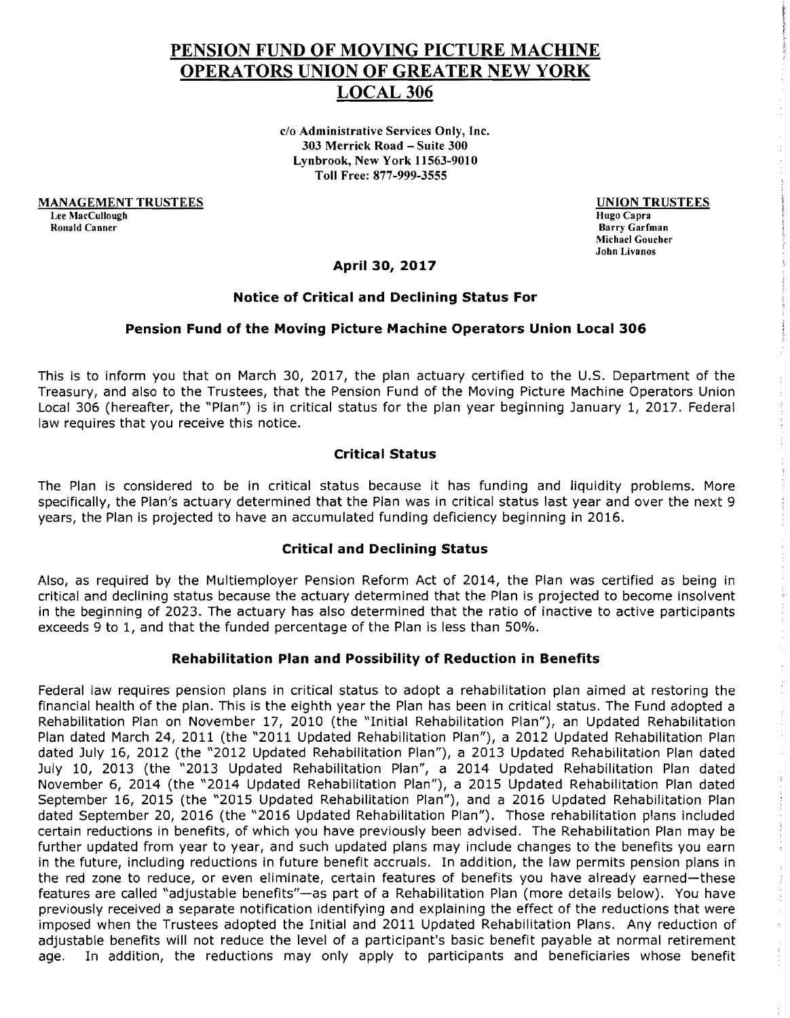# PENSION FUND OF MOVING PICTURE MACHINE OPERATORS UNION OF GREATER NEW YORK LOCAL306

c/o Administrative Services Only, Inc. 303 Merrick Road - Suite 300 Lynbrook, New York 11563-9010 Toll Free: 877-999-3555

MANAGEMENT TRUSTEES Lee MacCullough<br>Ronald Canner

UNION TRUSTEES

Hugo Capra Barry Garfman Michael Goucher John Livanos

## April 30, 2017

#### Notice of Critical and Declining Status For

#### Pension Fund of the Moving Picture Machine Operators Union Local 306

This is to inform you that on March 30, 2017, the plan actuary certified to the U.S. Department of the Treasury, and also to the Trustees, that the Pension Fund of the Moving Picture Machine Operators Union Local 306 (hereafter, the "Plan") is in critical status for the plan year beginning January 1, 2017. Federal law requires that you receive this notice.

## Critical Status

The Plan is considered to be in critical status because it has funding and liquidity problems. More specifically, the Plan's actuary determined that the Plan was in critical status last year and over the next 9 years, the Plan is projected to have an accumulated funding deficiency beginning in 2016.

#### Critical and Declining Status

Also, as required by the Multiemployer Pension Reform Act of 2014, the Plan was certified as being in critical and declining status because the actuary determined that the Plan is projected to become insolvent in the beginning of 2023. The actuary has also determined that the ratio of inactive to active participants exceeds 9 to 1, and that the funded percentage of the Plan is less than 50%.

#### Rehabilitation Plan and Possibility of Reduction in Benefits

Federal law requires pension plans in critical status to adopt a rehabilitation plan aimed at restoring the financial health of the plan. This is the eighth year the Plan has been in critical status. The Fund adopted a Rehabilitation Plan on November 17, 2010 (the "Initial Rehabilitation Plan"), an Updated Rehabilitation Plan dated March 24, 2011 (the "2011 Updated Rehabilitation Plan"), a 2012 Updated Rehabilitation Plan dated July 16, 2012 (the "2012 Updated Rehabilitation Plan"), a 2013 Updated Rehabilitation Plan dated July 10, 2013 (the "2013 Updated Rehabilitation Plan", a 2014 Updated Rehabilitation Plan dated November 6, 2014 (the "2014 Updated Rehabilitation Plan"), a 2015 Updated Rehabilitation Plan dated September 16, 2015 (the "2015 Updated Rehabilitation Plan"), and a 2016 Updated Rehabilitation Plan dated September 20, 2016 (the "2016 Updated Rehabilitation Plan"). Those rehabilitation plans included certain reductions in benefits, of which you have previously been advised. The Rehabilitation Plan may be further updated from year to year, and such updated plans may include changes to the benefits you earn in the future, including reductions in future benefit accruals. In addition, the law permits pension plans in the red zone to reduce, or even eliminate, certain features of benefits you have already earned-these features are called "adjustable benefits"-as part of a Rehabilitation Plan (more details below). You have previously received a separate notification identifying and explaining the effect of the reductions that were imposed when the Trustees adopted the Initial and 2011 Updated Rehabilitation Plans. Any reduction of adjustable benefits will not reduce the level of a participant's basic benefit payable at normal retirement age. In addition, the reductions may only apply to participants and beneficiaries whose benefit